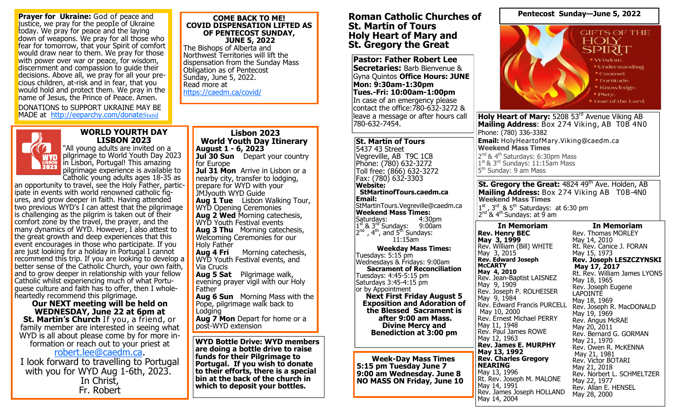**Prayer for Ukraine:** God of peace and justice, we pray for the реорІе of Ukraine today. We pray for peace and the laying down of weapons. We pray for all those who fear for tomorrow, that your Spirit of comfort would draw near to them. We pray for those with power over war or peace, for wisdom, discernment and compassion to quide their decisions. Above all, we pray for all your precious children, at-risk and in fear, that you would hold and protect them. We pray in the name of Jesus, the Prince of Реасе. Amen.

DONATIONS to SUPPORT UKRAINE MAY BE MADE at <http://eeparchy.com/donate>Stand

#### **COME BACK TO ME! COVID DISPENSATION LIFTED AS OF PENTECOST SUNDAY, JUNE 5, 2022**

The Bishops of Alberta and Northwest Territories will lift the dispensation from the Sunday Mass Obligation as of Pentecost Sunday, June 5, 2022. Read more at <https://caedm.ca/covid/>



## **WORLD YOURTH DAY LISBON 2023**

"All young adults are invited on a pilgrimage to World Youth Day 2023 in Lisbon, Portugal! This amazing pilgrimage experience is available to Catholic young adults ages 18-35 as

an opportunity to travel, see the Holy Father, participate in events with world renowned catholic figures, and grow deeper in faith. Having attended two previous WYD's I can attest that the pilgrimage is challenging as the pilgrim is taken out of their comfort zone by the travel, the prayer, and the many dynamics of WYD. However, I also attest to the great growth and deep experiences that this event encourages in those who participate. If you are just looking for a holiday in Portugal I cannot recommend this trip. If you are looking to develop a better sense of the Catholic Church, your own faith, and to grow deeper in relationship with your fellow Catholic whilst experiencing much of what Portuguese culture and faith has to offer, then I wholeheartedly recommend this pilgrimage.

**Our NEXT meeting will be held on WEDNESDAY, June 22 at 6pm at St. Martin's Church** If you, a friend, or family member are interested in seeing what WYD is all about please come by for more information or reach out to your priest at

[robert.lee@caedm.ca.](mailto:robert.lee@caedm.ca) 

I look forward to travelling to Portugal with you for WYD Aug 1-6th, 2023. In Christ, Fr. Robert

**Lisbon 2023 World Youth Day Itinerary August 1 - 6, 2023 Jul 30 Sun** Depart your country for Furope **Jul 31 Mon** Arrive in Lisbon or a nearby city, transfer to lodging, prepare for WYD with your JMJyouth WYD Guide **Aug 1 Tue** Lisbon Walking Tour, WYD Opening Ceremonies **Aug 2 Wed** Morning catechesis, WYD Youth Festival events **Aug 3 Thu** Morning catechesis, Welcoming Ceremonies for our Holy Father<br>**Aug 4 Fri Morning catechesis,** WYD Youth Festival events, and Via Crucis **Aug 5 Sat** Pilgrimage walk, evening prayer vigil with our Holy Father **Aug 6 Sun** Morning Mass with the Pope, pilgrimage walk back to Lodging **Aug 7 Mon** Depart for home or a post-WYD extension **WYD Bottle Drive: WYD members** 

**are doing a bottle drive to raise funds for their Pilgrimage to Portugal. If you wish to donate to their efforts, there is a special bin at the back of the church in which to deposit your bottles.** 

## **Roman Catholic Churches of St. Martin of Tours Holy Heart of Mary and St. Gregory the Great**

**Pastor: Father Robert Lee Secretaries:** Barb Bienvenue & Gyna Quintos **Office Hours: JUNE Mon: 9:30am-1:30pm Tues.-Fri: 10:00am-1:00pm** In case of an emergency please contact the office:780-632-3272 & leave a message or after hours call 780-632-7454.

#### **St. Martin of Tours** 5437 43 Street Vegreville, AB T9C 1C8 Phone: (780) 632-3272 Toll free: (866) 632-3272 Fax: (780) 632-3303 **Website: StMartinofTours.caedm.ca Email:** StMartinTours.Vegreville@caedm.ca **Weekend Mass Times:**  Saturdays: 1<sup>st</sup> & 3<sup>rd</sup> Sundays: 9:00am  $2^{nd}$ ,  $4^{th}$ , and  $5^{th}$  Sundays: 11:15am **Weekday Mass Times:**  Tuesdays:  $5:15$  pm Wednesdays & Fridays: 9:00am **Sacrament of Reconciliation**  Tuesdays: 4:45-5:15 pm Saturdays 3:45-4:15 pm

or by Appointment **Next First Friday August 5 Exposition and Adoration of the Blessed Sacrament is after 9:00 am Mass. Divine Mercy and Benediction at 3:00 pm** 

**Week-Day Mass Times 5:15 pm Tuesday June 7 9:00 am Wednesday. June 8 NO MASS ON Friday, June 10**



**Pentecost Sunday—June 5, 2022**

**Email:** HolyHeartofMary.Viking@caedm.ca **Weekend Mass Times** 2<sup>nd</sup> & 4<sup>th</sup> Saturdays: 6:30pm Mass 1<sup>st</sup> & 3<sup>rd</sup> Sundays: 11:15am Mass 5<sup>th</sup> Sunday: 9 am Mass

**St. Gregory the Great: 4824 49th Ave. Holden, AB Mailing Address:** Box 274 Viking AB T0B-4N0 **Weekend Mass Times**

 $1<sup>st</sup>$ ,  $3<sup>rd</sup>$  &  $5<sup>th</sup>$  Saturdays: at 6:30 pm 2<sup>nd</sup> & 4<sup>th</sup> Sundays: at 9 am

**In Memoriam Rev. Henry BEC May 3, 1999** Rev. William (Bill) WHITE May 3, 2015 **Rev. Edward Joseph McCARTY May 4, 2010** Rev. Jean-Baptist LAISNEZ May 9, 1909 Rev. Joseph P. ROLHEISER May 9, 1984 Rev. Edward Francis PURCELL May 10, 2000 Rev. Ernest Michael PERRY May 11, 1948 Rev. Paul James ROWE May 12, 1963 **Rev. James E. MURPHY May 13, 1992 Rev. Charles Gregory NEARING**  May 13, 1996 Rt. Rev. Joseph M. MALONE May 14, 1991 Rev. James Joseph HOLLAND

May 14, 2004

**In Memoriam** Rev. Thomas MORLEY May 14, 2010 Rt. Rev. Canice J. FORAN May 15, 1973 **Rev. Joseph LESZCZYNSKI May 17, 2017** Rt. Rev. William James LYONS May 18, 1965 Rev. Joseph Eugene **LAPOINTE** May 18, 1969 Rev. Joseph R. MacDONALD May 19, 1969 Rev. Angus McRAE May 20, 2011 Rev. Bernard G. GORMAN May 21, 1970 Rev. Owen R. McKENNA May 21, 1981 Rev. Victor BOTARI May 21, 2018 Rev. Norbert L. SCHMELTZER May 22, 1977 Rev. Allan E. HENSEL May 28, 2000